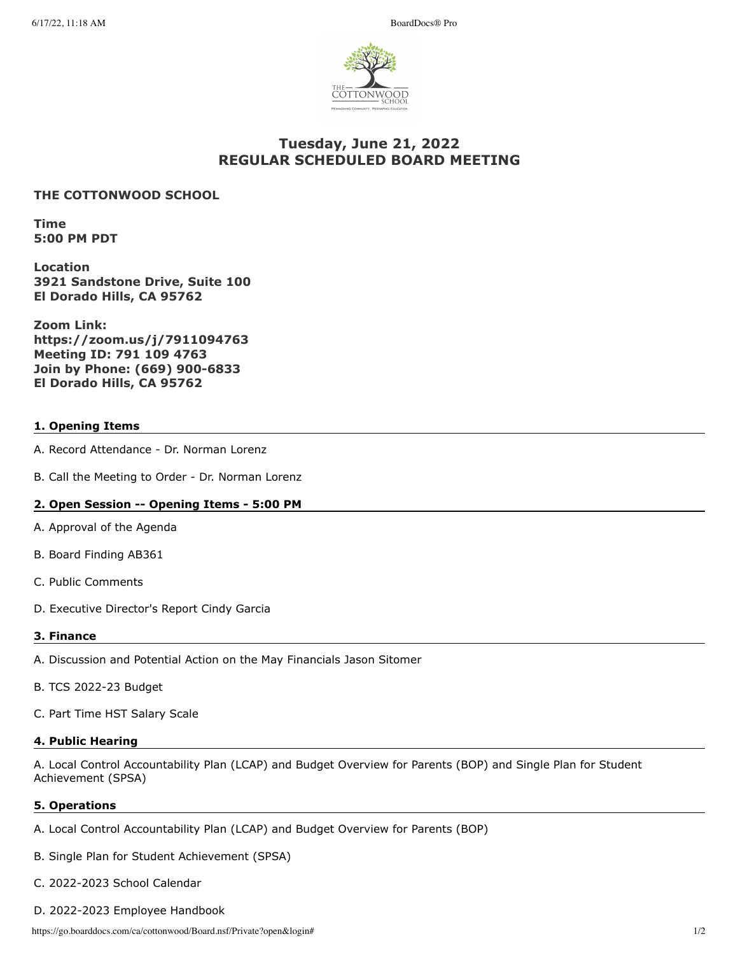

# **Tuesday, June 21, 2022 REGULAR SCHEDULED BOARD MEETING**

### **THE COTTONWOOD SCHOOL**

**Time 5:00 PM PDT**

**Location 3921 Sandstone Drive, Suite 100 El Dorado Hills, CA 95762**

**Zoom Link: https://zoom.us/j/7911094763 Meeting ID: 791 109 4763 Join by Phone: (669) 900-6833 El Dorado Hills, CA 95762**

### **1. Opening Items**

- A. Record Attendance Dr. Norman Lorenz
- B. Call the Meeting to Order Dr. Norman Lorenz

### **2. Open Session -- Opening Items - 5:00 PM**

- A. Approval of the Agenda
- B. Board Finding AB361
- C. Public Comments
- D. Executive Director's Report Cindy Garcia

#### **3. Finance**

- A. Discussion and Potential Action on the May Financials Jason Sitomer
- B. TCS 2022-23 Budget
- C. Part Time HST Salary Scale

#### **4. Public Hearing**

A. Local Control Accountability Plan (LCAP) and Budget Overview for Parents (BOP) and Single Plan for Student Achievement (SPSA)

#### **5. Operations**

- A. Local Control Accountability Plan (LCAP) and Budget Overview for Parents (BOP)
- B. Single Plan for Student Achievement (SPSA)
- C. 2022-2023 School Calendar
- D. 2022-2023 Employee Handbook